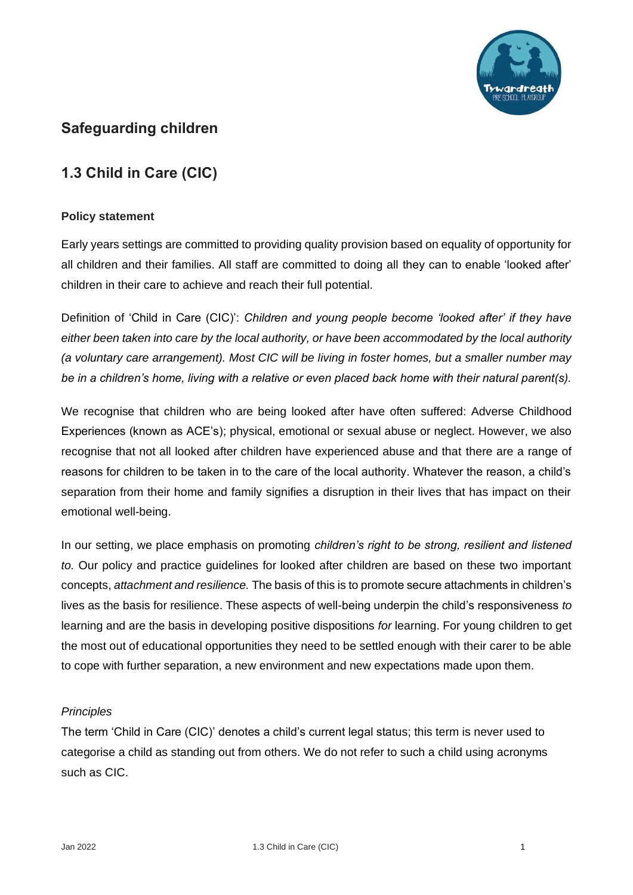

## **Safeguarding children**

# **1.3 Child in Care (CIC)**

## **Policy statement**

Early years settings are committed to providing quality provision based on equality of opportunity for all children and their families. All staff are committed to doing all they can to enable 'looked after' children in their care to achieve and reach their full potential.

Definition of 'Child in Care (CIC)': *Children and young people become 'looked after' if they have either been taken into care by the local authority, or have been accommodated by the local authority (a voluntary care arrangement). Most CIC will be living in foster homes, but a smaller number may be in a children's home, living with a relative or even placed back home with their natural parent(s).*

We recognise that children who are being looked after have often suffered: Adverse Childhood Experiences (known as ACE's); physical, emotional or sexual abuse or neglect. However, we also recognise that not all looked after children have experienced abuse and that there are a range of reasons for children to be taken in to the care of the local authority. Whatever the reason, a child's separation from their home and family signifies a disruption in their lives that has impact on their emotional well-being.

In our setting, we place emphasis on promoting *children's right to be strong, resilient and listened to.* Our policy and practice guidelines for looked after children are based on these two important concepts, *attachment and resilience.* The basis of this is to promote secure attachments in children's lives as the basis for resilience. These aspects of well-being underpin the child's responsiveness *to* learning and are the basis in developing positive dispositions *for* learning. For young children to get the most out of educational opportunities they need to be settled enough with their carer to be able to cope with further separation, a new environment and new expectations made upon them.

### *Principles*

The term 'Child in Care (CIC)' denotes a child's current legal status; this term is never used to categorise a child as standing out from others. We do not refer to such a child using acronyms such as CIC.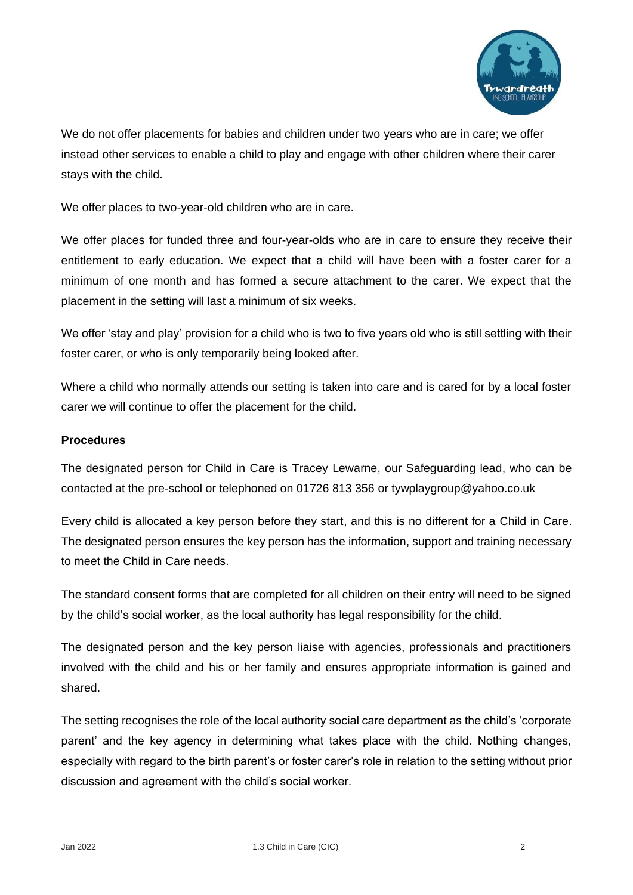

We do not offer placements for babies and children under two years who are in care; we offer instead other services to enable a child to play and engage with other children where their carer stays with the child.

We offer places to two-year-old children who are in care.

We offer places for funded three and four-year-olds who are in care to ensure they receive their entitlement to early education. We expect that a child will have been with a foster carer for a minimum of one month and has formed a secure attachment to the carer. We expect that the placement in the setting will last a minimum of six weeks.

We offer 'stay and play' provision for a child who is two to five years old who is still settling with their foster carer, or who is only temporarily being looked after.

Where a child who normally attends our setting is taken into care and is cared for by a local foster carer we will continue to offer the placement for the child.

### **Procedures**

The designated person for Child in Care is Tracey Lewarne, our Safeguarding lead, who can be contacted at the pre-school or telephoned on 01726 813 356 or tywplaygroup@yahoo.co.uk

Every child is allocated a key person before they start, and this is no different for a Child in Care. The designated person ensures the key person has the information, support and training necessary to meet the Child in Care needs.

The standard consent forms that are completed for all children on their entry will need to be signed by the child's social worker, as the local authority has legal responsibility for the child.

The designated person and the key person liaise with agencies, professionals and practitioners involved with the child and his or her family and ensures appropriate information is gained and shared.

The setting recognises the role of the local authority social care department as the child's 'corporate parent' and the key agency in determining what takes place with the child. Nothing changes, especially with regard to the birth parent's or foster carer's role in relation to the setting without prior discussion and agreement with the child's social worker.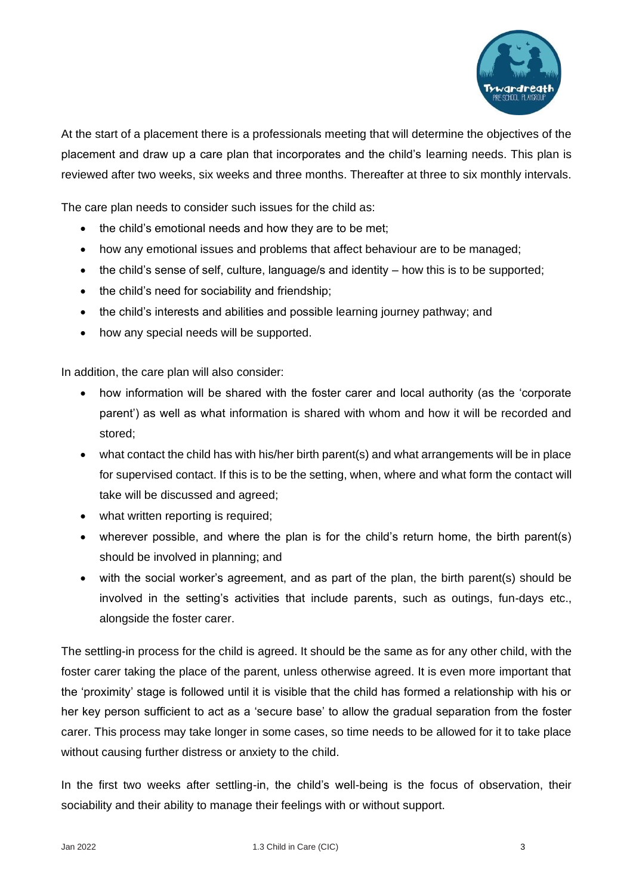

At the start of a placement there is a professionals meeting that will determine the objectives of the placement and draw up a care plan that incorporates and the child's learning needs. This plan is reviewed after two weeks, six weeks and three months. Thereafter at three to six monthly intervals.

The care plan needs to consider such issues for the child as:

- the child's emotional needs and how they are to be met:
- how any emotional issues and problems that affect behaviour are to be managed;
- the child's sense of self, culture, language/s and identity how this is to be supported;
- the child's need for sociability and friendship;
- the child's interests and abilities and possible learning journey pathway; and
- how any special needs will be supported.

In addition, the care plan will also consider:

- how information will be shared with the foster carer and local authority (as the 'corporate parent') as well as what information is shared with whom and how it will be recorded and stored;
- what contact the child has with his/her birth parent(s) and what arrangements will be in place for supervised contact. If this is to be the setting, when, where and what form the contact will take will be discussed and agreed;
- what written reporting is required;
- wherever possible, and where the plan is for the child's return home, the birth parent(s) should be involved in planning; and
- with the social worker's agreement, and as part of the plan, the birth parent(s) should be involved in the setting's activities that include parents, such as outings, fun-days etc., alongside the foster carer.

The settling-in process for the child is agreed. It should be the same as for any other child, with the foster carer taking the place of the parent, unless otherwise agreed. It is even more important that the 'proximity' stage is followed until it is visible that the child has formed a relationship with his or her key person sufficient to act as a 'secure base' to allow the gradual separation from the foster carer. This process may take longer in some cases, so time needs to be allowed for it to take place without causing further distress or anxiety to the child.

In the first two weeks after settling-in, the child's well-being is the focus of observation, their sociability and their ability to manage their feelings with or without support.